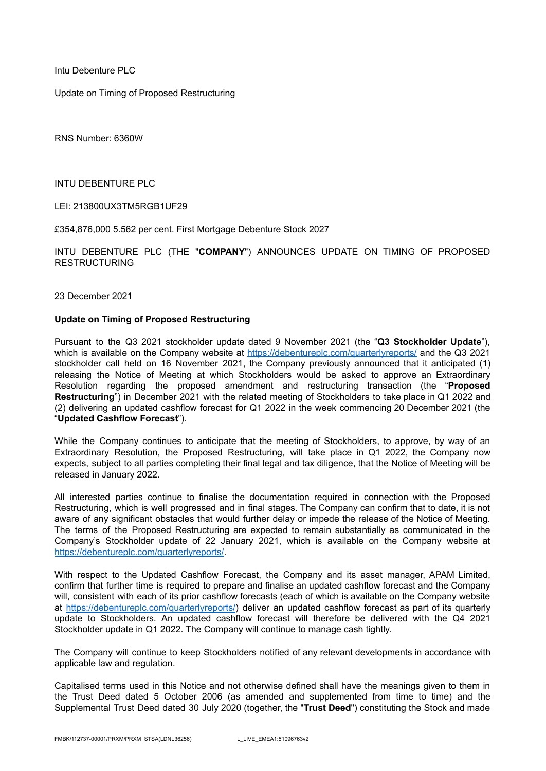Intu Debenture PLC

Update on Timing of Proposed Restructuring

RNS Number: 6360W

INTU DEBENTURE PLC

LEI: 213800UX3TM5RGB1UF29

£354,876,000 5.562 per cent. First Mortgage Debenture Stock 2027

INTU DEBENTURE PLC (THE "**COMPANY**") ANNOUNCES UPDATE ON TIMING OF PROPOSED RESTRUCTURING

23 December 2021

## **Update on Timing of Proposed Restructuring**

Pursuant to the Q3 2021 stockholder update dated 9 November 2021 (the "**Q3 Stockholder Update**"), which is available on the Company website at <https://debentureplc.com/quarterlyreports/> and the Q3 2021 stockholder call held on 16 November 2021, the Company previously announced that it anticipated (1) releasing the Notice of Meeting at which Stockholders would be asked to approve an Extraordinary Resolution regarding the proposed amendment and restructuring transaction (the "**Proposed Restructuring**") in December 2021 with the related meeting of Stockholders to take place in Q1 2022 and (2) delivering an updated cashflow forecast for Q1 2022 in the week commencing 20 December 2021 (the "**Updated Cashflow Forecast**").

While the Company continues to anticipate that the meeting of Stockholders, to approve, by way of an Extraordinary Resolution, the Proposed Restructuring, will take place in Q1 2022, the Company now expects, subject to all parties completing their final legal and tax diligence, that the Notice of Meeting will be released in January 2022.

All interested parties continue to finalise the documentation required in connection with the Proposed Restructuring, which is well progressed and in final stages. The Company can confirm that to date, it is not aware of any significant obstacles that would further delay or impede the release of the Notice of Meeting. The terms of the Proposed Restructuring are expected to remain substantially as communicated in the Company's Stockholder update of 22 January 2021, which is available on the Company website at [https://debentureplc.com/quarterlyreports/.](https://debentureplc.com/quarterlyreports/)

With respect to the Updated Cashflow Forecast, the Company and its asset manager, APAM Limited, confirm that further time is required to prepare and finalise an updated cashflow forecast and the Company will, consistent with each of its prior cashflow forecasts (each of which is available on the Company website at <https://debentureplc.com/quarterlyreports/>) deliver an updated cashflow forecast as part of its quarterly update to Stockholders. An updated cashflow forecast will therefore be delivered with the Q4 2021 Stockholder update in Q1 2022. The Company will continue to manage cash tightly.

The Company will continue to keep Stockholders notified of any relevant developments in accordance with applicable law and regulation.

Capitalised terms used in this Notice and not otherwise defined shall have the meanings given to them in the Trust Deed dated 5 October 2006 (as amended and supplemented from time to time) and the Supplemental Trust Deed dated 30 July 2020 (together, the "**Trust Deed**") constituting the Stock and made